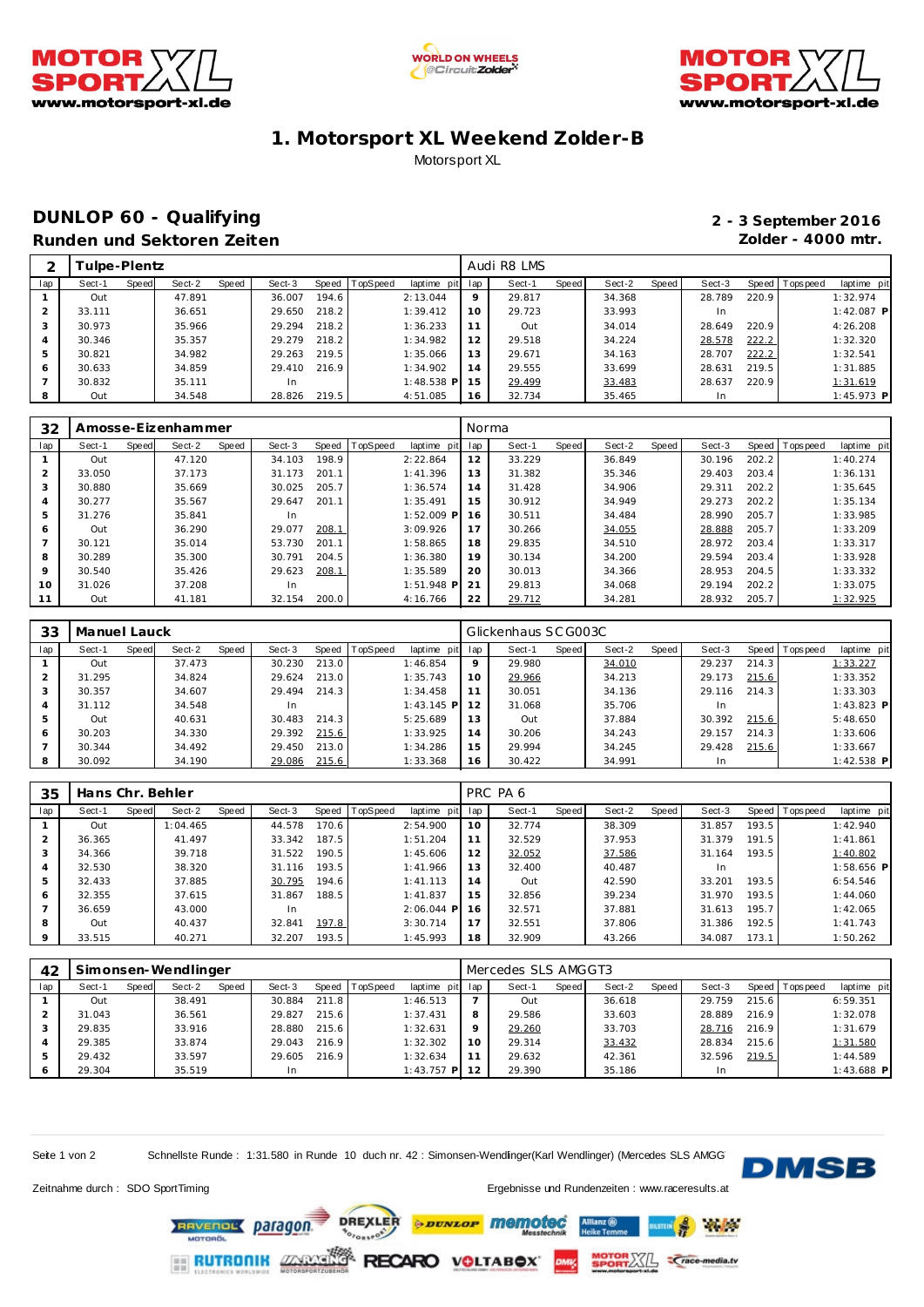





## **1. Motorsport XL Weekend Zolder-B** Motorsport XL

## **DUNLOP 60 - Qualifying 2 - 3 September 2016 Runden und Sektoren Zeiten Zolder - 4000 mtr.**

| ⌒   |        | Tulpe-Plentz |        |       |        |       |          |              |              | Audi R8 LMS |       |        |       |        |       |                |              |
|-----|--------|--------------|--------|-------|--------|-------|----------|--------------|--------------|-------------|-------|--------|-------|--------|-------|----------------|--------------|
| lap | Sect-1 | Speed        | Sect-2 | Speed | Sect-3 | Speed | TopSpeed | laptime pit  | lap          | Sect-1      | Speed | Sect-2 | Speed | Sect-3 |       | Speed Topspeed | laptime pit  |
|     | Out    |              | 47.891 |       | 36.007 | 194.6 |          | 2:13.044     | $\circ$      | 29.817      |       | 34.368 |       | 28.789 | 220.9 |                | 1:32.974     |
|     | 33.111 |              | 36.651 |       | 29.650 | 218.2 |          | 1:39.412     | 10           | 29.723      |       | 33.993 |       | In.    |       |                | $1:42.087$ P |
|     | 30.973 |              | 35.966 |       | 29.294 | 218.2 |          | 1:36.233     |              | Out         |       | 34.014 |       | 28.649 | 220.9 |                | 4:26.208     |
| 4   | 30.346 |              | 35.357 |       | 29.279 | 218.2 |          | 1:34.982     | 12           | 29.518      |       | 34.224 |       | 28.578 | 222.2 |                | 1:32.320     |
| 5   | 30.821 |              | 34.982 |       | 29.263 | 219.5 |          | 1:35.066     | 13           | 29.671      |       | 34.163 |       | 28.707 | 222.2 |                | 1:32.541     |
| 6   | 30.633 |              | 34.859 |       | 29.410 | 216.9 |          | 1:34.902     | 14           | 29.555      |       | 33.699 |       | 28.631 | 219.5 |                | 1:31.885     |
|     | 30.832 |              | 35.111 |       | In     |       |          | $1:48.538$ P | <sup>5</sup> | 29.499      |       | 33.483 |       | 28.637 | 220.9 |                | 1:31.619     |
| 8   | Out    |              | 34.548 |       | 28.826 | 219.5 |          | 4:51.085     | 16           | 32.734      |       | 35.465 |       | In.    |       |                | 1:45.973 P   |

| 32             |        |       | Amosse-Eizenhammer |       |        |       |                |                | Norma |        |       |        |       |        |       |                |             |
|----------------|--------|-------|--------------------|-------|--------|-------|----------------|----------------|-------|--------|-------|--------|-------|--------|-------|----------------|-------------|
| lap            | Sect-1 | Speed | Sect-2             | Speed | Sect-3 |       | Speed TopSpeed | laptime<br>pit | lap   | Sect-1 | Speed | Sect-2 | Speed | Sect-3 |       | Speed Topspeed | laptime pit |
|                | Out    |       | 47.120             |       | 34.103 | 198.9 |                | 2:22.864       | 12    | 33.229 |       | 36.849 |       | 30.196 | 202.2 |                | 1:40.274    |
| $\overline{2}$ | 33.050 |       | 37.173             |       | 31.173 | 201.1 |                | 1:41.396       | 13    | 31.382 |       | 35.346 |       | 29.403 | 203.4 |                | 1:36.131    |
| 3              | 30.880 |       | 35.669             |       | 30.025 | 205.7 |                | 1:36.574       | 14    | 31.428 |       | 34.906 |       | 29.311 | 202.2 |                | 1:35.645    |
| 4              | 30.277 |       | 35.567             |       | 29.647 | 201.1 |                | 1:35.491       | 15    | 30.912 |       | 34.949 |       | 29.273 | 202.2 |                | 1:35.134    |
| 5              | 31.276 |       | 35.841             |       | In     |       |                | $1:52.009$ P   | 16    | 30.511 |       | 34.484 |       | 28.990 | 205.7 |                | 1:33.985    |
| 6              | Out    |       | 36.290             |       | 29.077 | 208.1 |                | 3:09.926       | 17    | 30.266 |       | 34.055 |       | 28.888 | 205.7 |                | 1:33.209    |
|                | 30.121 |       | 35.014             |       | 53.730 | 201.1 |                | 1:58.865       | 18    | 29.835 |       | 34.510 |       | 28.972 | 203.4 |                | 1:33.317    |
| 8              | 30.289 |       | 35.300             |       | 30.791 | 204.5 |                | 1:36.380       | 19    | 30.134 |       | 34.200 |       | 29.594 | 203.4 |                | 1:33.928    |
| 9              | 30.540 |       | 35.426             |       | 29.623 | 208.1 |                | 1:35.589       | 20    | 30.013 |       | 34.366 |       | 28.953 | 204.5 |                | 1:33.332    |
| 10             | 31.026 |       | 37.208             |       | In     |       |                | $1:51.948$ P   | 21    | 29.813 |       | 34.068 |       | 29.194 | 202.2 |                | 1:33.075    |
| 11             | Out    |       | 41.181             |       | 32.154 | 200.0 |                | 4:16.766       | 22    | 29.712 |       | 34.281 |       | 28.932 | 205.7 |                | 1:32.925    |

| 33  | Manuel Lauck |       |        |       |        |       |                  |               |     | Glickenhaus SC G003C |       |        |       |        |       |                 |              |
|-----|--------------|-------|--------|-------|--------|-------|------------------|---------------|-----|----------------------|-------|--------|-------|--------|-------|-----------------|--------------|
| lap | Sect-1       | Speed | Sect-2 | Speed | Sect-3 |       | Speed   TopSpeed | laptime pit   | lap | Sect-1               | Speed | Sect-2 | Speed | Sect-3 |       | Speed Tops peed | laptime pit  |
|     | Out          |       | 37.473 |       | 30.230 | 213.0 |                  | 1:46.854      | 9   | 29.980               |       | 34.010 |       | 29.237 | 214.3 |                 | 1:33.227     |
|     | 31.295       |       | 34.824 |       | 29.624 | 213.0 |                  | 1:35.743      | 10  | 29.966               |       | 34.213 |       | 29.173 | 215.6 |                 | 1:33.352     |
|     | 30.357       |       | 34.607 |       | 29.494 | 214.3 |                  | 1:34.458      | 11  | 30.051               |       | 34.136 |       | 29.116 | 214.3 |                 | 1:33.303     |
| 4   | 31.112       |       | 34.548 |       | In     |       |                  | $1:43.145$ PI | 12  | 31.068               |       | 35.706 |       | In.    |       |                 | $1:43.823$ P |
|     | Out          |       | 40.631 |       | 30.483 | 214.3 |                  | 5:25.689      | 13  | Out                  |       | 37.884 |       | 30.392 | 215.6 |                 | 5:48.650     |
| 6   | 30.203       |       | 34.330 |       | 29.392 | 215.6 |                  | 1:33.925      | 14  | 30.206               |       | 34.243 |       | 29.157 | 214.3 |                 | 1:33.606     |
|     | 30.344       |       | 34.492 |       | 29.450 | 213.0 |                  | 1:34.286      | 15  | 29.994               |       | 34.245 |       | 29.428 | 215.6 |                 | 1:33.667     |
| 8   | 30.092       |       | 34.190 |       | 29.086 | 215.6 |                  | 1:33.368      | 16  | 30.422               |       | 34.991 |       | In.    |       |                 | $1:42.538$ P |

| 35             | Hans Chr. Behler |       |          |       |        |       |          |              |     | PRC PA 6 |       |        |       |        |       |                |              |
|----------------|------------------|-------|----------|-------|--------|-------|----------|--------------|-----|----------|-------|--------|-------|--------|-------|----------------|--------------|
| lap            | Sect-1           | Speed | Sect-2   | Speed | Sect-3 | Speed | TopSpeed | laptime pit  | lap | Sect-1   | Speed | Sect-2 | Speed | Sect-3 |       | Speed Topspeed | laptime pit  |
|                | Out              |       | 1:04.465 |       | 44.578 | 170.6 |          | 2:54.900     | 10  | 32.774   |       | 38.309 |       | 31.857 | 193.5 |                | 1:42.940     |
| 2              | 36.365           |       | 41.497   |       | 33.342 | 187.5 |          | 1:51.204     | 11  | 32.529   |       | 37.953 |       | 31.379 | 191.5 |                | 1:41.861     |
| 3              | 34.366           |       | 39.718   |       | 31.522 | 190.5 |          | 1:45.606     | 12  | 32.052   |       | 37.586 |       | 31.164 | 193.5 |                | 1:40.802     |
| $\overline{4}$ | 32.530           |       | 38.320   |       | 31.116 | 193.5 |          | 1:41.966     | 13  | 32.400   |       | 40.487 |       |        |       |                | $1:58.656$ P |
| 5              | 32.433           |       | 37.885   |       | 30.795 | 194.6 |          | 1:41.113     | 14  | Out      |       | 42.590 |       | 33.201 | 193.5 |                | 6:54.546     |
| 6              | 32.355           |       | 37.615   |       | 31.867 | 188.5 |          | 1:41.837     | 15  | 32.856   |       | 39.234 |       | 31.970 | 193.5 |                | 1:44.060     |
|                | 36.659           |       | 43.000   |       | In     |       |          | $2:06.044$ P | 16  | 32.571   |       | 37.881 |       | 31.613 | 195.7 |                | 1:42.065     |
| 8              | Out              |       | 40.437   |       | 32.841 | 197.8 |          | 3:30.714     | 17  | 32.551   |       | 37.806 |       | 31.386 | 192.5 |                | 1:41.743     |
| 9              | 33.515           |       | 40.271   |       | 32.207 | 193.5 |          | 1:45.993     | 18  | 32.909   |       | 43.266 |       | 34.087 | 173.1 |                | 1:50.262     |

| 42  |        |       | Simonsen-Wendlinger |       |        |       |                |              |         | Mercedes SLS AMGGT3 |       |        |       |        |       |                |              |
|-----|--------|-------|---------------------|-------|--------|-------|----------------|--------------|---------|---------------------|-------|--------|-------|--------|-------|----------------|--------------|
| lap | Sect-1 | Speed | Sect-2              | Speed | Sect-3 |       | Speed TopSpeed | laptime pit  | lap     | Sect-1              | Speed | Sect-2 | Speed | Sect-3 |       | Speed Topspeed | laptime pit  |
|     | Out    |       | 38.491              |       | 30.884 | 211.8 |                | 1:46.513     |         | Out                 |       | 36.618 |       | 29.759 | 215.6 |                | 6:59.351     |
|     | 31.043 |       | 36.561              |       | 29.827 | 215.6 |                | 1:37.431     | 8       | 29.586              |       | 33.603 |       | 28.889 | 216.9 |                | 1:32.078     |
|     | 29.835 |       | 33.916              |       | 28.880 | 215.6 |                | 1:32.631     | $\circ$ | 29.260              |       | 33.703 |       | 28.716 | 216.9 |                | 1:31.679     |
|     | 29.385 |       | 33.874              |       | 29.043 | 216.9 |                | 1:32.302     | 10      | 29.314              |       | 33.432 |       | 28.834 | 215.6 |                | 1:31.580     |
| -5  | 29.432 |       | 33.597              |       | 29.605 | 216.9 |                | 1:32.634     |         | 29.632              |       | 42.361 |       | 32.596 | 219.5 |                | 1:44.589     |
|     | 29.304 |       | 35.519              |       | In     |       |                | $1:43.757$ P | 12      | 29.390              |       | 35.186 |       | In.    |       |                | $1:43.688$ P |

Seite 1 von 2 Schnellste Runde : 1:31.580 in Runde 10 duch nr. 42 : Simonsen-Wendlinger(Karl Wendlinger) (Mercedes SLS AMGG



**Refine** 

**Crace-media.tv** 

Zeitnahme durch : SDO SportTiming et al. et al. et al. et al. et al. et al. et al. et al. et al. et al. et al. et al. et al. et al. et al. et al. et al. et al. et al. et al. et al. et al. et al. et al. et al. et al. et al.